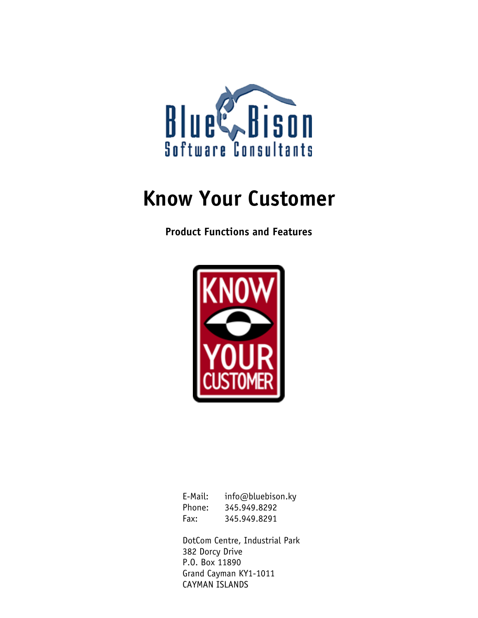

# **Know Your Customer**

**Product Functions and Features** 



| E-Mail: | info@bluebison.ky |
|---------|-------------------|
| Phone:  | 345.949.8292      |
| Fax:    | 345.949.8291      |

DotCom Centre, Industrial Park 382 Dorcy Drive P.O. Box 11890 Grand Cayman KY1-1011 CAYMAN ISLANDS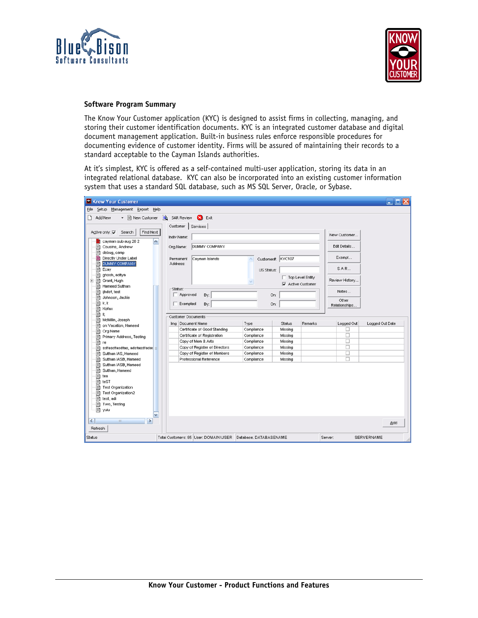



## **Software Program Summary**

The Know Your Customer application (KYC) is designed to assist firms in collecting, managing, and storing their customer identification documents. KYC is an integrated customer database and digital document management application. Built-in business rules enforce responsible procedures for documenting evidence of customer identity. Firms will be assured of maintaining their records to a standard acceptable to the Cayman Islands authorities.

At it's simplest, KYC is offered as a self-contained multi-user application, storing its data in an integrated relational database. KYC can also be incorporated into an existing customer information system that uses a standard SQL database, such as MS SQL Server, Oracle, or Sybase.

| Rnow Your Customer                                        |                     |                                                                |                          |                    |                                         |                | $\blacksquare$ $\blacksquare$ $\times$ |
|-----------------------------------------------------------|---------------------|----------------------------------------------------------------|--------------------------|--------------------|-----------------------------------------|----------------|----------------------------------------|
| Eile<br>Setup Management Report Help                      |                     |                                                                |                          |                    |                                         |                |                                        |
| ▼ Fi New Customer 3 SAR Review<br>n.<br>Add New           |                     | Ø<br>Exit                                                      |                          |                    |                                         |                |                                        |
|                                                           |                     | Customer   Services                                            |                          |                    |                                         |                |                                        |
| Find Next<br>Active only: $\overline{\smile}$ Search      |                     |                                                                |                          |                    |                                         |                |                                        |
|                                                           |                     | Indiv.Name:                                                    |                          |                    |                                         | New Customer   |                                        |
| cayman sub aug 20 2<br>Ξī<br>§<br>Cousins, Andrew         | $\hat{\phantom{a}}$ | DUMMY COMPANY<br>Org.Name:                                     |                          |                    |                                         | Edit Details   |                                        |
| ₽<br>debug, camp                                          |                     |                                                                |                          |                    |                                         |                |                                        |
| Directly Under Label<br>菖                                 |                     | Cayman Islands<br>Permanent                                    |                          | Customer#: KYC107  |                                         | Exempt         |                                        |
| §<br><b>DUMMY COMPANY</b>                                 |                     | Address:                                                       |                          |                    |                                         |                |                                        |
| Ð<br>Ecay                                                 |                     |                                                                | <b>US Status:</b>        |                    |                                         | SAR            |                                        |
| Ð<br>ghosh, aditya                                        |                     |                                                                |                          |                    | Top Level Entity                        | Review History |                                        |
| ⊹⊟า<br>Grant, Hugh<br>Đ<br>n<br>Harneed Sulthan           |                     |                                                                |                          |                    | $\overline{\mathbf{v}}$ Active Customer |                |                                        |
| ≘<br>ijhdsf, test                                         | Status:             |                                                                |                          |                    |                                         | Notes          |                                        |
| n<br>Johnson, Jackie                                      |                     | Approved<br>By:                                                |                          | On:                |                                         | Other          |                                        |
| n<br>k, k                                                 |                     | Exempted<br>By:                                                |                          | On:                |                                         | Relationships  |                                        |
| n<br>Kofax                                                |                     |                                                                |                          |                    |                                         |                |                                        |
| D<br>D,<br>n<br>McMillin, Joseph                          |                     | <b>Customer Documents</b>                                      |                          |                    |                                         |                |                                        |
| n<br>on Vacation, Hameed                                  |                     | Ima Document Name                                              | Type                     | <b>Status</b>      | Remarks                                 | Logged Out     | Logged Out Date                        |
| Org Name<br>n                                             |                     | Certificate of Good Standing                                   | Compliance               | Missing            |                                         | □              |                                        |
| n<br>Primary Address, Testing                             |                     | Certificate of Registration                                    | Compliance               | Missing            |                                         | □              |                                        |
| B<br>re                                                   |                     | Copy of Mern & Arts                                            | Compliance               | Missing            |                                         | п              |                                        |
| ⊫า<br>sdfasdfasdfas, adsfasdfada:<br>Sulthan IAS, Hameed  |                     | Copy of Register of Directors<br>Copy of Register of Members   | Compliance<br>Compliance | Missing<br>Missing |                                         | □<br>□         |                                        |
| Ð<br>Sulthan IASB, Hameed<br>圓                            |                     | Professional Reference                                         | Compliance               | Missing            |                                         | □              |                                        |
| B<br>Sulthan IASB, Hameed                                 |                     |                                                                |                          |                    |                                         |                |                                        |
| ≣า<br>Sulthan, Hameed                                     |                     |                                                                |                          |                    |                                         |                |                                        |
| Ð<br>tea                                                  |                     |                                                                |                          |                    |                                         |                |                                        |
| 目<br>teST                                                 |                     |                                                                |                          |                    |                                         |                |                                        |
| ≣າ<br><b>Test Organization</b><br>目<br>Test Organization2 |                     |                                                                |                          |                    |                                         |                |                                        |
| ₽<br>test, adi                                            |                     |                                                                |                          |                    |                                         |                |                                        |
| Ð<br>Two, Testing                                         |                     |                                                                |                          |                    |                                         |                |                                        |
| 图 yuiu                                                    |                     |                                                                |                          |                    |                                         |                |                                        |
|                                                           | ₩                   |                                                                |                          |                    |                                         |                |                                        |
| $\leq$<br>≯<br>ш                                          |                     |                                                                |                          |                    |                                         |                | Add                                    |
| Refresh                                                   |                     |                                                                |                          |                    |                                         |                |                                        |
| Status                                                    |                     | Total Customers: 85 User: DOMAIN\USER   Database. DATABASENAME |                          |                    |                                         | Server:        | SERVERNAME                             |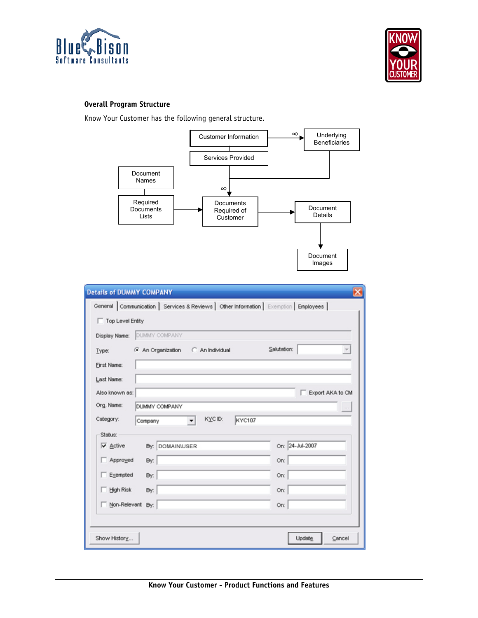



# **Overall Program Structure**

Know Your Customer has the following general structure.



| <b>Details of DUMMY COMPANY</b>                                                        |                  |  |  |  |
|----------------------------------------------------------------------------------------|------------------|--|--|--|
| General Communication   Services & Reviews   Other Information   Exemption   Employees |                  |  |  |  |
| Top Level Entity                                                                       |                  |  |  |  |
| DUMMY COMPANY<br>Display Name:                                                         |                  |  |  |  |
| An Organization C An Individual<br>Type:                                               | Salutation:      |  |  |  |
| First Name:                                                                            |                  |  |  |  |
| Last Name:                                                                             |                  |  |  |  |
| Also known as:                                                                         | Export AKA to CM |  |  |  |
| Org. Name:<br>DUMMY COMPANY                                                            | $\sim$           |  |  |  |
| Category:<br>KYC ID:<br><b>KYC107</b><br>$\mathbf{v}$<br>Company                       |                  |  |  |  |
| Status:                                                                                |                  |  |  |  |
| $\overline{\vee}$ Active<br>By: DOMAINUSER                                             | On: 24-Jul-2007  |  |  |  |
| Approved<br>By:                                                                        | On:              |  |  |  |
| $\Box$ Exempted<br>By:                                                                 | On:              |  |  |  |
| High Risk<br>By:                                                                       | On:              |  |  |  |
| Non-Relevant By:                                                                       | On:              |  |  |  |
|                                                                                        |                  |  |  |  |
| Show History<br>Update<br>Cancel                                                       |                  |  |  |  |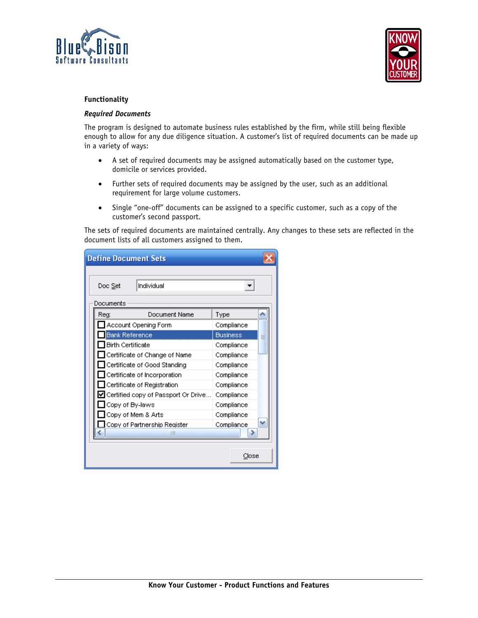



# **Functionality**

# *Required Documents*

The program is designed to automate business rules established by the firm, while still being flexible enough to allow for any due diligence situation. A customer's list of required documents can be made up in a variety of ways:

- A set of required documents may be assigned automatically based on the customer type, domicile or services provided.
- Further sets of required documents may be assigned by the user, such as an additional requirement for large volume customers.
- Single "one-off" documents can be assigned to a specific customer, such as a copy of the customer's second passport.

The sets of required documents are maintained centrally. Any changes to these sets are reflected in the document lists of all customers assigned to them.

| <b>Define Document Sets</b>                       |                      |                 |  |  |
|---------------------------------------------------|----------------------|-----------------|--|--|
| Individual<br>Doc Set                             |                      |                 |  |  |
| Documents                                         |                      |                 |  |  |
| Reg:                                              | Document Name        | Type            |  |  |
|                                                   | Account Opening Form | Compliance      |  |  |
| <b>Bank Reference</b>                             |                      | <b>Business</b> |  |  |
| <b>Birth Certificate</b>                          |                      | Compliance      |  |  |
| Certificate of Change of Name<br>Compliance       |                      |                 |  |  |
| Certificate of Good Standing<br>Compliance        |                      |                 |  |  |
| $\Box$ Certificate of Incorporation<br>Compliance |                      |                 |  |  |
| $\Box$ Certificate of Registration                | Compliance           |                 |  |  |
| ■ Certified copy of Passport Or Drive             | Compliance           |                 |  |  |
| Copy of By-laws                                   | Compliance           |                 |  |  |
| ∐ Copy of Mern & Arts                             | Compliance           |                 |  |  |
| Copy of Partnership Register.                     | Compliance           |                 |  |  |
| Ш                                                 |                      |                 |  |  |
|                                                   |                      | Close           |  |  |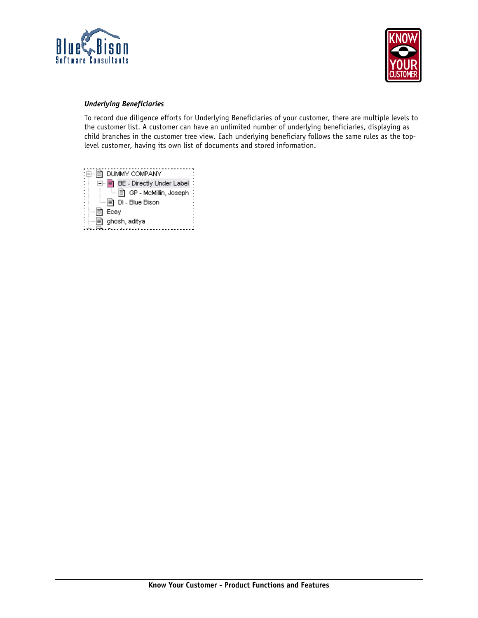



# *Underlying Beneficiaries*

To record due diligence efforts for Underlying Beneficiaries of your customer, there are multiple levels to the customer list. A customer can have an unlimited number of underlying beneficiaries, displaying as child branches in the customer tree view. Each underlying beneficiary follows the same rules as the toplevel customer, having its own list of documents and stored information.

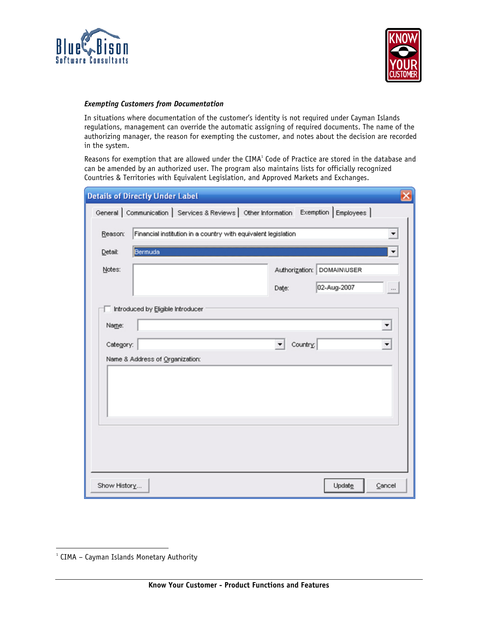



# *Exempting Customers from Documentation*

In situations where documentation of the customer's identity is not required under Cayman Islands regulations, management can override the automatic assigning of required documents. The name of the authorizing manager, the reason for exempting the customer, and notes about the decision are recorded in the system.

Reasons for exemption that are allowed under the CIMA<sup>1</sup> Code of Practice are stored in the database and can be amended by an authorized user. The program also maintains lists for officially recognized Countries & Territories with Equivalent Legislation, and Approved Markets and Exchanges.

|              | <b>Details of Directly Under Label</b>                                                 |
|--------------|----------------------------------------------------------------------------------------|
|              | General   Communication   Services & Reviews   Other Information Exemption   Employees |
| Reason:      | Financial institution in a country with equivalent legislation<br>▼                    |
| Detail:      | Bermuda<br>$\blacktriangledown$                                                        |
| Notes:       | Authorization: DOMAIN\USER                                                             |
|              | 02-Aug-2007<br>Date:<br>                                                               |
|              | Introduced by Eligible Introducer                                                      |
| Name:        | $\blacktriangledown$                                                                   |
| Category:    | Country:<br>▾<br>$\blacktriangledown$                                                  |
|              | Name & Address of Organization:                                                        |
|              |                                                                                        |
|              |                                                                                        |
|              |                                                                                        |
|              |                                                                                        |
|              |                                                                                        |
|              |                                                                                        |
| Show History | Update<br>Cancel                                                                       |

 $\overline{a}$ 

<sup>&</sup>lt;sup>1</sup> CIMA – Cayman Islands Monetary Authority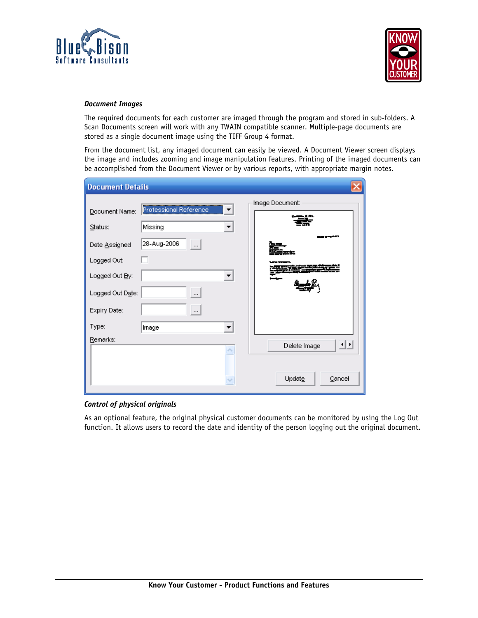



#### *Document Images*

The required documents for each customer are imaged through the program and stored in sub-folders. A Scan Documents screen will work with any TWAIN compatible scanner. Multiple-page documents are stored as a single document image using the TIFF Group 4 format.

From the document list, any imaged document can easily be viewed. A Document Viewer screen displays the image and includes zooming and image manipulation features. Printing of the imaged documents can be accomplished from the Document Viewer or by various reports, with appropriate margin notes.

| <b>Document Details</b>                                                                                         |                                                                                                                                      |                        |
|-----------------------------------------------------------------------------------------------------------------|--------------------------------------------------------------------------------------------------------------------------------------|------------------------|
| Document Name:<br>Status:<br>Date Assigned<br>Logged Out:<br>Logged Out By:<br>Logged Out Date:<br>Expiry Date: | Professional Reference<br>Missing<br>$\blacktriangledown$<br>28-Aug-2006<br>$\cdots$<br>$\blacktriangledown$<br>$\cdots$<br>$\cdots$ | Image Document:<br>г., |
| Type:<br>Remarks:                                                                                               | $\blacktriangledown$<br>Image                                                                                                        | 业<br>Delete Image      |
|                                                                                                                 |                                                                                                                                      | Update<br>Cancel       |

# *Control of physical originals*

As an optional feature, the original physical customer documents can be monitored by using the Log Out function. It allows users to record the date and identity of the person logging out the original document.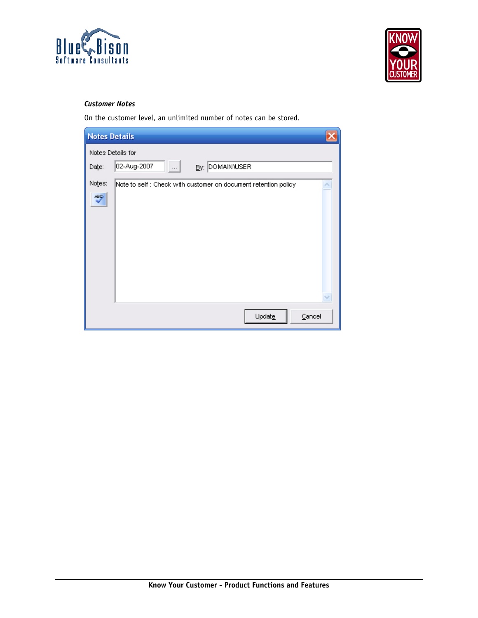



# *Customer Notes*

On the customer level, an unlimited number of notes can be stored.

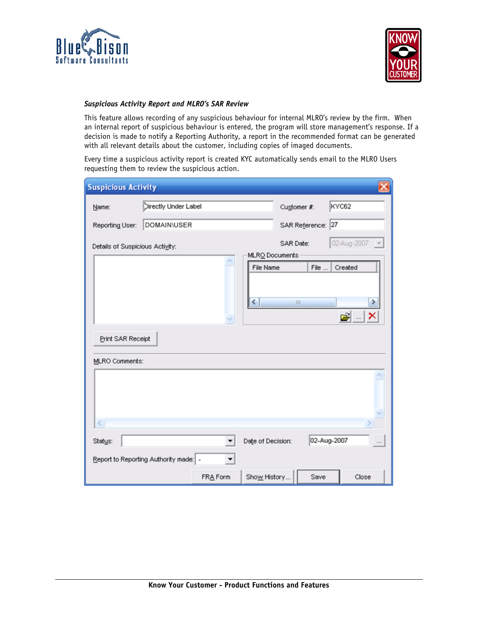



# *Suspicious Activity Report and MLRO's SAR Review*

This feature allows recording of any suspicious behaviour for internal MLRO's review by the firm. When an internal report of suspicious behaviour is entered, the program will store management's response. If a decision is made to notify a Reporting Authority, a report in the recommended format can be generated with all relevant details about the customer, including copies of imaged documents.

Every time a suspicious activity report is created KYC automatically sends email to the MLRO Users requesting them to review the suspicious action.

| <b>Suspicious Activity</b><br>× |                                        |          |                   |                |                 |
|---------------------------------|----------------------------------------|----------|-------------------|----------------|-----------------|
| Name:                           | Directly Under Label                   |          |                   | Customer #:    | KYC62           |
| Reporting User:                 | <b>DOMAIN/USER</b>                     |          |                   | SAR Reference: | 27              |
| Details of Suspicious Activity: |                                        |          | SAR Date:         |                | 02-Aug-2007 -   |
|                                 |                                        |          | MLRO Documents    |                |                 |
|                                 |                                        |          | File Name         | File           | Created         |
|                                 |                                        |          | ≺                 | Ш              | ≯               |
|                                 |                                        |          |                   |                | ×<br>G) …       |
| Print SAR Receipt               |                                        |          |                   |                |                 |
| MLRO Comments:                  |                                        |          |                   |                |                 |
|                                 |                                        |          |                   |                |                 |
|                                 |                                        |          |                   |                |                 |
|                                 |                                        |          |                   |                |                 |
|                                 |                                        |          |                   |                |                 |
| $\left\langle \right\rangle$    |                                        |          |                   |                |                 |
| Status:                         |                                        |          | Date of Decision: |                | 02-Aug-2007<br> |
|                                 | Report to Reporting Authority made:  - | ▼        |                   |                |                 |
|                                 |                                        | FRA Form | Show History      | Save           | Close           |